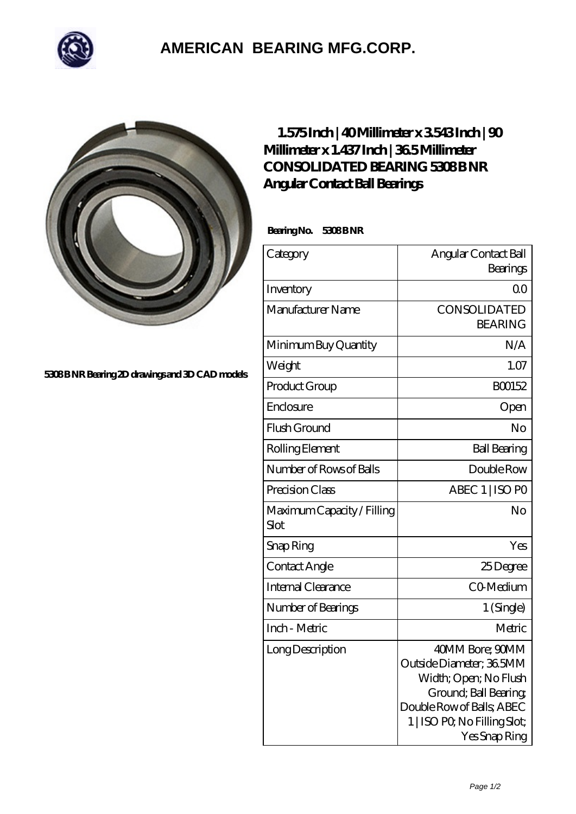

## **[AMERICAN BEARING MFG.CORP.](https://m.geragogik.net)**



**[5308 B NR Bearing 2D drawings and 3D CAD models](https://m.geragogik.net/pic-181359.html)**

## **[1.575 Inch | 40 Millimeter x 3.543 Inch | 90](https://m.geragogik.net/bh-181359-consolidated-bearing-5308-b-nr-angular-contact-ball-bearings.html) [Millimeter x 1.437 Inch | 36.5 Millimeter](https://m.geragogik.net/bh-181359-consolidated-bearing-5308-b-nr-angular-contact-ball-bearings.html) CONSOLIDATED BEARING 5308BNR [Angular Contact Ball Bearings](https://m.geragogik.net/bh-181359-consolidated-bearing-5308-b-nr-angular-contact-ball-bearings.html)**

Bearing No. 5308 B NR

| Category                           | Angular Contact Ball<br>Bearings                                                                                                                                            |
|------------------------------------|-----------------------------------------------------------------------------------------------------------------------------------------------------------------------------|
| Inventory                          | 0 <sup>0</sup>                                                                                                                                                              |
| Manufacturer Name                  | CONSOLIDATED<br><b>BEARING</b>                                                                                                                                              |
| Minimum Buy Quantity               | N/A                                                                                                                                                                         |
| Weight                             | 1.07                                                                                                                                                                        |
| Product Group                      | BO0152                                                                                                                                                                      |
| Enclosure                          | Open                                                                                                                                                                        |
| Flush Ground                       | No                                                                                                                                                                          |
| Rolling Element                    | <b>Ball Bearing</b>                                                                                                                                                         |
| Number of Rows of Balls            | Double Row                                                                                                                                                                  |
| Precision Class                    | ABEC 1   ISO PO                                                                                                                                                             |
| Maximum Capacity / Filling<br>Slot | No                                                                                                                                                                          |
| Snap Ring                          | Yes                                                                                                                                                                         |
| Contact Angle                      | 25Degree                                                                                                                                                                    |
| Internal Clearance                 | CO-Medium                                                                                                                                                                   |
| Number of Bearings                 | 1 (Single)                                                                                                                                                                  |
| Inch - Metric                      | Metric                                                                                                                                                                      |
| Long Description                   | 40MM Bore; 90MM<br>Outside Diameter; 36 5MM<br>Width; Open; No Flush<br>Ground; Ball Bearing;<br>Double Row of Balls, ABEC<br>1   ISO PO, No Filling Slot;<br>Yes Snap Ring |